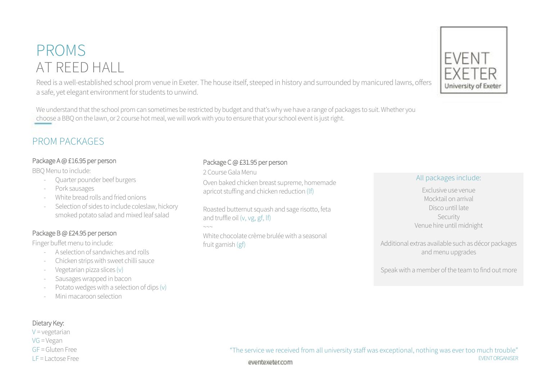## PROMS AT REED HALL

Reed is a well-established school prom venue in Exeter. The house itself, steeped in history and surrounded by manicured lawns, offers a safe, yet elegant environment for students to unwind.

We understand that the school prom can sometimes be restricted by budget and that's why we have a range of packages to suit. Whether you choose a BBQ on the lawn, or 2 course hot meal, we will work with you to ensure that your school event is just right.

### PROM PACKAGES

#### Package A @ £16.95 per person

BBQ Menu to include:

- Quarter pounder beef burgers
- Pork sausages
- White bread rolls and fried onions
- Selection of sides to include coleslaw, hickory smoked potato salad and mixed leaf salad

#### Package B @ £24.95 per person

Finger buffet menu to include:

- A selection of sandwiches and rolls
- Chicken strips with sweet chilli sauce
- Vegetarian pizza slices (v)
- Sausages wrapped in bacon
- Potato wedges with a selection of dips  $(v)$
- Mini macaroon selection

#### Package C @ £31.95 per person

2 Course Gala Menu

Oven baked chicken breast supreme, homemade apricot stuffing and chicken reduction (lf)

Roasted butternut squash and sage risotto, feta and truffle oil (v, vg, gf, lf)

White chocolate crème brulée with a seasonal fruit garnish (gf)

#### All packages include:

Exclusive use venue Mocktail on arrival Disco until late Security Venue hire until midnight

Additional extras available such as décor packages and menu upgrades

Speak with a member of the team to find out more

"The service we received from all university staff was exceptional, nothing was ever too much trouble" EVENT ORGANISER eventexeter.com

#### Dietary Key:

#### $V = v$ egetarian VG = Vegan GF = Gluten Free LF = Lactose Free